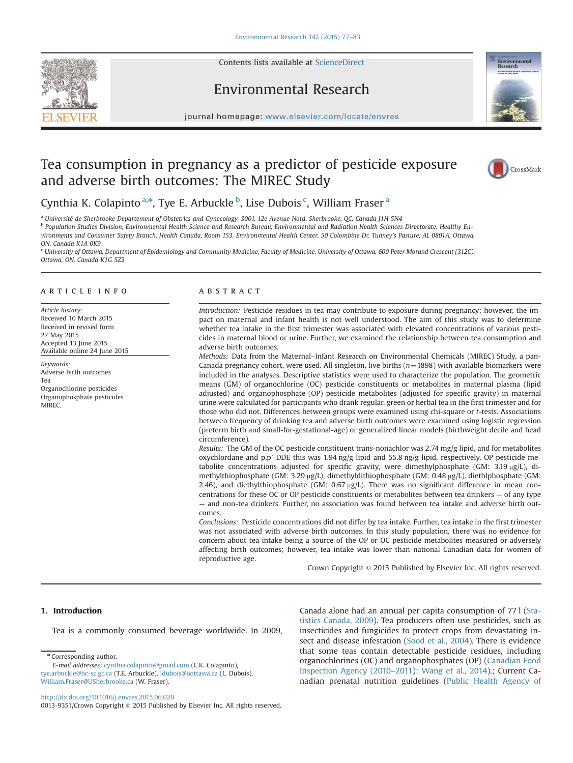Contents lists available at ScienceDirect







journal homepage: <www.elsevier.com/locate/envres>se $\mathcal{C}$ 

# Tea consumption in pregnancy as a predictor of pesticide exposure and adverse birth outcomes: The MIREC Study



Cynthia K. Colapinto <sup>a,\*</sup>, Tye E. Arbuckle <sup>b</sup>, Lise Dubois <sup>c</sup>, William Fraser <sup>a</sup>

<sup>a</sup> Université de Sherbrooke Departement of Obstetrics and Gynecology, 3001, 12e Avenue Nord, Sherbrooke, QC, Canada J1H 5N4

**b Population Studies Division, Environmental Health Science and Research Bureau, Environmental and Radiation Health Sciences Directorate, Healthy En**vironments and Consumer Safety Branch, Health Canada, Room 153, Environmental Health Center, 50 Colombine Dr. Tunney's Pasture, AL 0801A, Ottawa, ON, Canada K1A 0K9

<sup>c</sup> University of Ottawa, Department of Epidemiology and Community Medicine, Faculty of Medicine, University of Ottawa, 600 Peter Morand Crescent (312C), Ottawa, ON, Canada K1G 5Z3

# article info

Article history: Received 10 March 2015 Received in revised form 27 May 2015 Accepted 13 June 2015 Available online 24 June 2015

Keywords: Adverse birth outcomes Tea Organochlorine pesticides Organophosphate pesticides **MIREC.** 

# abstract

Introduction: Pesticide residues in tea may contribute to exposure during pregnancy; however, the impact on maternal and infant health is not well understood. The aim of this study was to determine whether tea intake in the first trimester was associated with elevated concentrations of various pesticides in maternal blood or urine. Further, we examined the relationship between tea consumption and adverse birth outcomes.

Methods: Data from the Maternal–Infant Research on Environmental Chemicals (MIREC) Study, a pan-Canada pregnancy cohort, were used. All singleton, live births  $(n=1898)$  with available biomarkers were included in the analyses. Descriptive statistics were used to characterize the population. The geometric means (GM) of organochlorine (OC) pesticide constituents or metabolites in maternal plasma (lipid adjusted) and organophosphate (OP) pesticide metabolites (adjusted for specific gravity) in maternal urine were calculated for participants who drank regular, green or herbal tea in the first trimester and for those who did not. Differences between groups were examined using chi-square or t-tests. Associations between frequency of drinking tea and adverse birth outcomes were examined using logistic regression (preterm birth and small-for-gestational-age) or generalized linear models (birthweight decile and head circumference).

Results: The GM of the OC pesticide constituent trans-nonachlor was 2.74 mg/g lipid, and for metabolites oxychlordane and p,p'-DDE this was 1.94 ng/g lipid and 55.8 ng/g lipid, respectively. OP pesticide metabolite concentrations adjusted for specific gravity, were dimethylphosphate (GM:  $3.19 \mu g/L$ ), dimethylthiophosphate (GM: 3.29 µg/L), dimethyldithiophosphate (GM: 0.48 µg/L), diethlphosphate (GM: 2.46), and diethylthiophosphate (GM:  $0.67 \mu g/L$ ). There was no significant difference in mean concentrations for these OC or OP pesticide constituents or metabolites between tea drinkers — of any type — and non-tea drinkers. Further, no association was found between tea intake and adverse birth outcomes.

Conclusions: Pesticide concentrations did not differ by tea intake. Further, tea intake in the first trimester was not associated with adverse birth outcomes. In this study population, there was no evidence for concern about tea intake being a source of the OP or OC pesticide metabolites measured or adversely affecting birth outcomes; however, tea intake was lower than national Canadian data for women of reproductive age.

Crown Copyright @ 2015 Published by Elsevier Inc. All rights reserved.

# 1. Introduction

Tea is a commonly consumed beverage worldwide. In 2009,

Corresponding author.

E-mail addresses: [cynthia.colapinto@gmail.com](mailto:cynthia.colapinto@gmail.com) (C.K. Colapinto), [tye.arbuckle@hc-sc.gc.ca](mailto:tye.arbuckle@hc-sc.gc.ca) (T.E. Arbuckle), [ldubois@uottawa.ca](mailto:ldubois@uottawa.ca) (L. Dubois), [William.Fraser@USherbrooke.ca](mailto:William.Fraser@USherbrooke.ca) (W. Fraser).

<http://dx.doi.org/10.1016/j.envres.2015.06.020> 0013-9351/Crown Copyright @ 2015 Published by Elsevier Inc. All rights reserved. Canada alone had an annual per capita consumption of 77 l ([Sta](#page-6-0)[tistics Canada, 2009](#page-6-0)). Tea producers often use pesticides, such as insecticides and fungicides to protect crops from devastating insect and disease infestation [\(Sood et al., 2004\)](#page-6-0). There is evidence that some teas contain detectable pesticide residues, including organochlorines (OC) and organophosphates (OP) ([Canadian Food](#page-6-0) [Inspection Agency \(2010](#page-6-0)–2011[\); Wang et al., 2014\)](#page-6-0).; Current Canadian prenatal nutrition guidelines [\(Public Health Agency of](#page-6-0)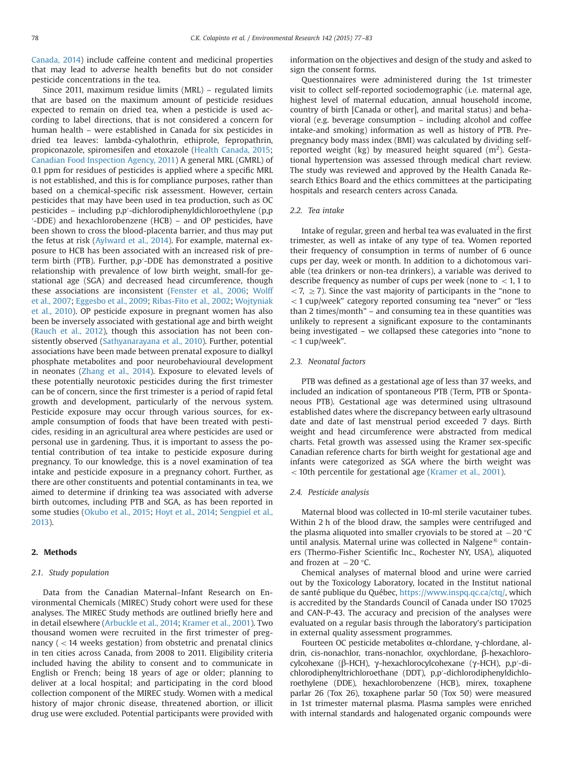[Canada, 2014\)](#page-6-0) include caffeine content and medicinal properties that may lead to adverse health benefits but do not consider pesticide concentrations in the tea.

Since 2011, maximum residue limits (MRL) – regulated limits that are based on the maximum amount of pesticide residues expected to remain on dried tea, when a pesticide is used according to label directions, that is not considered a concern for human health – were established in Canada for six pesticides in dried tea leaves: lambda-cyhalothrin, ethiprole, fepropathrin, propiconazole, spiromesifen and etoxazole [\(Health Canada, 2015;](#page-6-0) [Canadian Food Inspection Agency, 2011](#page-6-0)) A general MRL (GMRL) of 0.1 ppm for residues of pesticides is applied where a specific MRL is not established, and this is for compliance purposes, rather than based on a chemical-specific risk assessment. However, certain pesticides that may have been used in tea production, such as OC pesticides – including p,p′-dichlorodiphenyldichloroethylene (p,p ′-DDE) and hexachlorobenzene (HCB) – and OP pesticides, have been shown to cross the blood-placenta barrier, and thus may put the fetus at risk [\(Aylward et al., 2014](#page-6-0)). For example, maternal exposure to HCB has been associated with an increased risk of preterm birth (PTB). Further, p,p′-DDE has demonstrated a positive relationship with prevalence of low birth weight, small-for gestational age (SGA) and decreased head circumference, though these associations are inconsistent [\(Fenster et al., 2006;](#page-6-0) [Wolff](#page-6-0) [et al., 2007;](#page-6-0) [Eggesbo et al., 2009](#page-6-0); [Ribas-Fito et al., 2002;](#page-6-0) [Wojtyniak](#page-6-0) [et al., 2010](#page-6-0)). OP pesticide exposure in pregnant women has also been be inversely associated with gestational age and birth weight ([Rauch et al., 2012](#page-6-0)), though this association has not been consistently observed [\(Sathyanarayana et al., 2010](#page-6-0)). Further, potential associations have been made between prenatal exposure to dialkyl phosphate metabolites and poor neurobehavioural development in neonates [\(Zhang et al., 2014](#page-6-0)). Exposure to elevated levels of these potentially neurotoxic pesticides during the first trimester can be of concern, since the first trimester is a period of rapid fetal growth and development, particularly of the nervous system. Pesticide exposure may occur through various sources, for example consumption of foods that have been treated with pesticides, residing in an agricultural area where pesticides are used or personal use in gardening. Thus, it is important to assess the potential contribution of tea intake to pesticide exposure during pregnancy. To our knowledge, this is a novel examination of tea intake and pesticide exposure in a pregnancy cohort. Further, as there are other constituents and potential contaminants in tea, we aimed to determine if drinking tea was associated with adverse birth outcomes, including PTB and SGA, as has been reported in some studies ([Okubo et al., 2015](#page-6-0); [Hoyt et al., 2014](#page-6-0); [Sengpiel et al.,](#page-6-0) [2013\)](#page-6-0).

# 2. Methods

## 2.1. Study population

Data from the Canadian Maternal–Infant Research on Environmental Chemicals (MIREC) Study cohort were used for these analyses. The MIREC Study methods are outlined briefly here and in detail elsewhere [\(Arbuckle et al., 2014;](#page-6-0) [Kramer et al., 2001\)](#page-6-0). Two thousand women were recruited in the first trimester of pregnancy ( $<$  14 weeks gestation) from obstetric and prenatal clinics in ten cities across Canada, from 2008 to 2011. Eligibility criteria included having the ability to consent and to communicate in English or French; being 18 years of age or older; planning to deliver at a local hospital; and participating in the cord blood collection component of the MIREC study. Women with a medical history of major chronic disease, threatened abortion, or illicit drug use were excluded. Potential participants were provided with information on the objectives and design of the study and asked to sign the consent forms.

Questionnaires were administered during the 1st trimester visit to collect self-reported sociodemographic (i.e. maternal age, highest level of maternal education, annual household income, country of birth [Canada or other], and marital status) and behavioral (e.g. beverage consumption – including alcohol and coffee intake-and smoking) information as well as history of PTB. Prepregnancy body mass index (BMI) was calculated by dividing selfreported weight (kg) by measured height squared  $(m^2)$ . Gestational hypertension was assessed through medical chart review. The study was reviewed and approved by the Health Canada Research Ethics Board and the ethics committees at the participating hospitals and research centers across Canada.

# 2.2. Tea intake

Intake of regular, green and herbal tea was evaluated in the first trimester, as well as intake of any type of tea. Women reported their frequency of consumption in terms of number of 6 ounce cups per day, week or month. In addition to a dichotomous variable (tea drinkers or non-tea drinkers), a variable was derived to describe frequency as number of cups per week (none to  $< 1$ , 1 to  $<$  7,  $\geq$  7). Since the vast majority of participants in the "none to  $<$  1 cup/week" category reported consuming tea "never" or "less than 2 times/month" – and consuming tea in these quantities was unlikely to represent a significant exposure to the contaminants being investigated – we collapsed these categories into "none to  $<$  1 cup/week".

# 2.3. Neonatal factors

PTB was defined as a gestational age of less than 37 weeks, and included an indication of spontaneous PTB (Term, PTB or Spontaneous PTB). Gestational age was determined using ultrasound established dates where the discrepancy between early ultrasound date and date of last menstrual period exceeded 7 days. Birth weight and head circumference were abstracted from medical charts. Fetal growth was assessed using the Kramer sex-specific Canadian reference charts for birth weight for gestational age and infants were categorized as SGA where the birth weight was  $<$  10th percentile for gestational age ([Kramer et al., 2001\)](#page-6-0).

# 2.4. Pesticide analysis

Maternal blood was collected in 10-ml sterile vacutainer tubes. Within 2 h of the blood draw, the samples were centrifuged and the plasma aliquoted into smaller cryovials to be stored at  $-20$  °C until analysis. Maternal urine was collected in Nalgene $^{\circledR}$  containers (Thermo-Fisher Scientific Inc., Rochester NY, USA), aliquoted and frozen at  $-20$  °C.

Chemical analyses of maternal blood and urine were carried out by the Toxicology Laboratory, located in the Institut national de santé publique du Québec, <https://www.inspq.qc.ca/ctq/>, which is accredited by the Standards Council of Canada under ISO 17025 and CAN-P-43. The accuracy and precision of the analyses were evaluated on a regular basis through the laboratory's participation in external quality assessment programmes.

Fourteen OC pesticide metabolites α-chlordane, γ-chlordane, aldrin, cis-nonachlor, trans-nonachlor, oxychlordane, β-hexachlorocylcohexane (β-HCH), γ-hexachlorocylcohexane (γ-HCH), p,p′-dichlorodiphenyltrichloroethane (DDT), p,p′-dichlorodiphenyldichloroethylene (DDE), hexachlorobenzene (HCB), mirex, toxaphene parlar 26 (Tox 26), toxaphene parlar 50 (Tox 50) were measured in 1st trimester maternal plasma. Plasma samples were enriched with internal standards and halogenated organic compounds were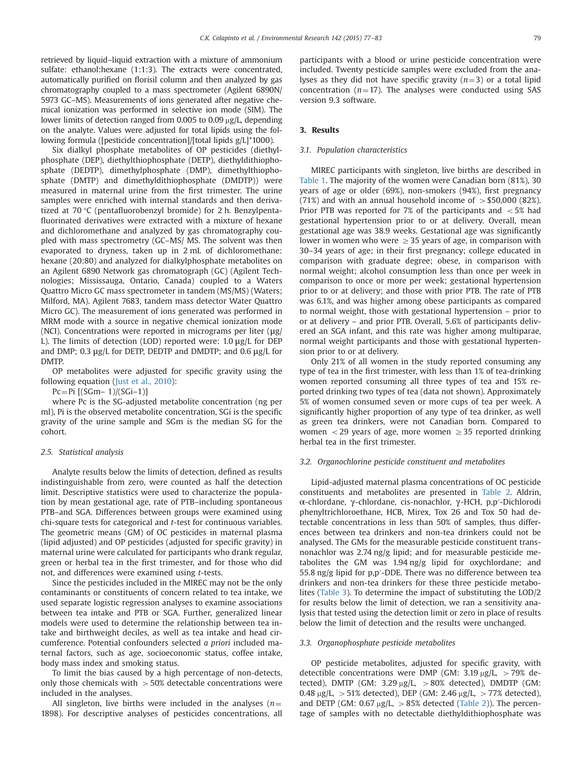retrieved by liquid–liquid extraction with a mixture of ammonium sulfate: ethanol:hexane (1:1:3). The extracts were concentrated, automatically purified on florisil column and then analyzed by gas chromatography coupled to a mass spectrometer (Agilent 6890N/ 5973 GC–MS). Measurements of ions generated after negative chemical ionization was performed in selective ion mode (SIM). The lower limits of detection ranged from 0.005 to 0.09  $\mu$ g/L, depending on the analyte. Values were adjusted for total lipids using the following formula ([pesticide concentration]/[total lipids g/L]\*1000).

Six dialkyl phosphate metabolites of OP pesticides (diethylphosphate (DEP), diethylthiophosphate (DETP), diethyldithiophosphate (DEDTP), dimethylphosphate (DMP), dimethylthiophosphate (DMTP) and dimethyldithiophosphate (DMDTP)) were measured in maternal urine from the first trimester. The urine samples were enriched with internal standards and then derivatized at 70 °C (pentafluorobenzyl bromide) for 2 h. Benzylpentafluorinated derivatives were extracted with a mixture of hexane and dichloromethane and analyzed by gas chromatography coupled with mass spectrometry (GC–MS/ MS. The solvent was then evaporated to dryness, taken up in 2 mL of dichloromethane: hexane (20:80) and analyzed for dialkylphosphate metabolites on an Agilent 6890 Network gas chromatograph (GC) (Agilent Technologies; Mississauga, Ontario, Canada) coupled to a Waters Quattro Micro GC mass spectrometer in tandem (MS/MS) (Waters; Milford, MA). Agilent 7683, tandem mass detector Water Quattro Micro GC). The measurement of ions generated was performed in MRM mode with a source in negative chemical ionization mode (NCI). Concentrations were reported in micrograms per liter (μg/ L). The limits of detection (LOD) reported were: 1.0 μg/L for DEP and DMP; 0.3 μg/L for DETP, DEDTP and DMDTP; and 0.6 μg/L for DMTP.

OP metabolites were adjusted for specific gravity using the following equation [\(Just et al., 2010](#page-6-0)):

 $Pc = Pi$   $[(SGm-1)/(SGi-1)]$ 

where Pc is the SG-adjusted metabolite concentration (ng per ml), Pi is the observed metabolite concentration, SGi is the specific gravity of the urine sample and SGm is the median SG for the cohort.

#### 2.5. Statistical analysis

Analyte results below the limits of detection, defined as results indistinguishable from zero, were counted as half the detection limit. Descriptive statistics were used to characterize the population by mean gestational age, rate of PTB–including spontaneous PTB–and SGA. Differences between groups were examined using chi-square tests for categorical and t-test for continuous variables. The geometric means (GM) of OC pesticides in maternal plasma (lipid adjusted) and OP pesticides (adjusted for specific gravity) in maternal urine were calculated for participants who drank regular, green or herbal tea in the first trimester, and for those who did not, and differences were examined using t-tests.

Since the pesticides included in the MIREC may not be the only contaminants or constituents of concern related to tea intake, we used separate logistic regression analyses to examine associations between tea intake and PTB or SGA. Further, generalized linear models were used to determine the relationship between tea intake and birthweight deciles, as well as tea intake and head circumference. Potential confounders selected a priori included maternal factors, such as age, socioeconomic status, coffee intake, body mass index and smoking status.

To limit the bias caused by a high percentage of non-detects, only those chemicals with  $>50\%$  detectable concentrations were included in the analyses.

All singleton, live births were included in the analyses ( $n=$ 1898). For descriptive analyses of pesticides concentrations, all participants with a blood or urine pesticide concentration were included. Twenty pesticide samples were excluded from the analyses as they did not have specific gravity  $(n=3)$  or a total lipid concentration ( $n=17$ ). The analyses were conducted using SAS version 9.3 software.

# 3. Results

# 3.1. Population characteristics

MIREC participants with singleton, live births are described in [Table 1.](#page-3-0) The majority of the women were Canadian born (81%), 30 years of age or older (69%), non-smokers (94%), first pregnancy (71%) and with an annual household income of  $>$  \$50,000 (82%). Prior PTB was reported for 7% of the participants and  $<$  5% had gestational hypertension prior to or at delivery. Overall, mean gestational age was 38.9 weeks. Gestational age was significantly lower in women who were  $\geq$  35 years of age, in comparison with 30–34 years of age; in their first pregnancy; college educated in comparison with graduate degree; obese, in comparison with normal weight; alcohol consumption less than once per week in comparison to once or more per week; gestational hypertension prior to or at delivery; and those with prior PTB. The rate of PTB was 6.1%, and was higher among obese participants as compared to normal weight, those with gestational hypertension – prior to or at delivery – and prior PTB. Overall, 5.6% of participants delivered an SGA infant, and this rate was higher among multiparae, normal weight participants and those with gestational hypertension prior to or at delivery.

Only 21% of all women in the study reported consuming any type of tea in the first trimester, with less than 1% of tea-drinking women reported consuming all three types of tea and 15% reported drinking two types of tea (data not shown). Approximately 5% of women consumed seven or more cups of tea per week. A significantly higher proportion of any type of tea drinker, as well as green tea drinkers, were not Canadian born. Compared to women  $\langle 29 \rangle$  years of age, more women  $\geq 35$  reported drinking herbal tea in the first trimester.

#### 3.2. Organochlorine pesticide constituent and metabolites

Lipid-adjusted maternal plasma concentrations of OC pesticide constituents and metabolites are presented in [Table 2.](#page-4-0) Aldrin, α-chlordane, γ-chlordane, cis-nonachlor, γ-HCH, p,p′-Dichlorodi phenyltrichloroethane, HCB, Mirex, Tox 26 and Tox 50 had detectable concentrations in less than 50% of samples, thus differences between tea drinkers and non-tea drinkers could not be analysed. The GMs for the measurable pesticide constituent transnonachlor was 2.74 ng/g lipid; and for measurable pesticide metabolites the GM was 1.94 ng/g lipid for oxychlordane; and 55.8 ng/g lipid for p,p′-DDE. There was no difference between tea drinkers and non-tea drinkers for these three pesticide metabolites [\(Table 3](#page-4-0)). To determine the impact of substituting the LOD/2 for results below the limit of detection, we ran a sensitivity analysis that tested using the detection limit or zero in place of results below the limit of detection and the results were unchanged.

# 3.3. Organophosphate pesticide metabolites

OP pesticide metabolites, adjusted for specific gravity, with detectible concentrations were DMP (GM:  $3.19 \mu g/L$ ,  $> 79\%$  detected), DMTP (GM:  $3.29 \mu g/L$ ,  $> 80\%$  detected), DMDTP (GM: 0.48  $\mu$ g/L, > 51% detected), DEP (GM: 2.46  $\mu$ g/L, > 77% detected), and DETP (GM:  $0.67 \mu g/L$ ,  $> 85\%$  detected [\(Table 2\)](#page-4-0)). The percentage of samples with no detectable diethyldithiophosphate was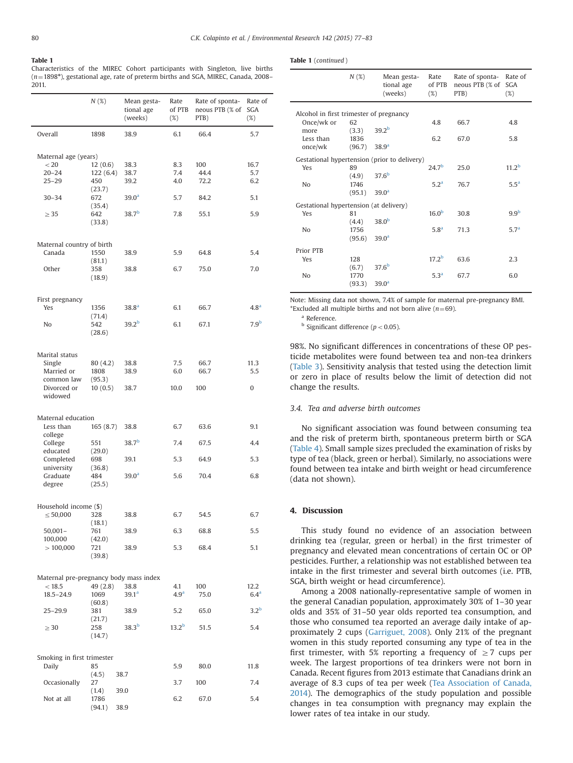## <span id="page-3-0"></span>Table 1

Characteristics of the MIREC Cohort participants with Singleton, live births  $(n=1898^*)$ , gestational age, rate of preterm births and SGA, MIREC, Canada, 2008– 2011.

|                                        | N(%)          | Mean gesta-<br>tional age<br>(weeks) | Rate<br>of PTB<br>$(\%)$ | Rate of sponta-<br>neous PTB (% of<br>PTB) | Rate of<br>SGA<br>$(\%)$ |
|----------------------------------------|---------------|--------------------------------------|--------------------------|--------------------------------------------|--------------------------|
| Overall                                | 1898          | 38.9                                 | 6.1                      | 66.4                                       | 5.7                      |
| Maternal age (years)                   |               |                                      |                          |                                            |                          |
| < 20                                   | 12(0.6)       | 38.3                                 | 8.3                      | 100                                        | 16.7                     |
| $20 - 24$                              | 122(6.4)      | 38.7                                 | 7.4                      | 44.4                                       | 5.7                      |
| $25 - 29$                              | 450           | 39.2                                 | 4.0                      | 72.2                                       | 6.2                      |
|                                        | (23.7)        |                                      |                          |                                            |                          |
| $30 - 34$                              | 672           | 39.0 <sup>a</sup>                    | 5.7                      | 84.2                                       | 5.1                      |
| $\geq$ 35                              | (35.4)<br>642 | 38.7 <sup>b</sup>                    | 7.8                      | 55.1                                       | 5.9                      |
|                                        | (33.8)        |                                      |                          |                                            |                          |
| Maternal country of birth              |               |                                      |                          |                                            |                          |
| Canada                                 | 1550          | 38.9                                 | 5.9                      | 64.8                                       | 5.4                      |
|                                        | (81.1)        |                                      |                          |                                            |                          |
| Other                                  | 358<br>(18.9) | 38.8                                 | 6.7                      | 75.0                                       | 7.0                      |
|                                        |               |                                      |                          |                                            |                          |
| First pregnancy<br>Yes                 | 1356          | 38.8 <sup>a</sup>                    | 6.1                      | 66.7                                       | 4.8 <sup>a</sup>         |
|                                        | (71.4)        |                                      |                          |                                            |                          |
| No                                     | 542<br>(28.6) | 39.2 <sup>b</sup>                    | 6.1                      | 67.1                                       | 7.9 <sup>b</sup>         |
|                                        |               |                                      |                          |                                            |                          |
| Marital status                         |               |                                      |                          |                                            |                          |
| Single                                 | 80 (4.2)      | 38.8                                 | 7.5                      | 66.7                                       | 11.3                     |
| Married or                             | 1808          | 38.9                                 | 6.0                      | 66.7                                       | 5.5                      |
| common law                             | (95.3)        |                                      |                          |                                            |                          |
| Divorced or<br>widowed                 | 10(0.5)       | 38.7                                 | 10.0                     | 100                                        | 0                        |
| Maternal education                     |               |                                      |                          |                                            |                          |
| Less than                              | 165(8.7)      | 38.8                                 | 6.7                      | 63.6                                       | 9.1                      |
| college                                |               |                                      |                          |                                            |                          |
| College                                | 551           | 38.7 <sup>b</sup>                    | 7.4                      | 67.5                                       | 4.4                      |
| educated                               | (29.0)        |                                      |                          |                                            |                          |
| Completed                              | 698           | 39.1                                 | 5.3                      | 64.9                                       | 5.3                      |
| university                             | (36.8)        |                                      |                          |                                            |                          |
| Graduate<br>degree                     | 484<br>(25.5) | 39.0 <sup>a</sup>                    | 5.6                      | 70.4                                       | 6.8                      |
|                                        |               |                                      |                          |                                            |                          |
| Household income (\$)                  |               |                                      |                          |                                            |                          |
| $\leq 50,000$                          | 328           | 38.8                                 | 6.7                      | 54.5                                       | 6.7                      |
|                                        | (18.1)        |                                      |                          |                                            |                          |
| $50,001 -$                             | 761           | 38.9                                 | 6.3                      | 68.8                                       | 5.5                      |
| 100,000                                | (42.0)        | 38.9                                 |                          | 68.4                                       |                          |
| >100,000                               | 721<br>(39.8) |                                      | 5.3                      |                                            | 5.1                      |
|                                        |               |                                      |                          |                                            |                          |
| Maternal pre-pregnancy body mass index |               |                                      |                          |                                            |                          |
| < 18.5                                 | 49(2.8)       | 38.8                                 | 4.1                      | 100                                        | 12.2                     |
| $18.5 - 24.9$                          | 1069          | 39.1 <sup>a</sup>                    | 4.9 <sup>a</sup>         | 75.0                                       | 6.4 <sup>a</sup>         |
|                                        | (60.8)        |                                      |                          |                                            | 3.2 <sup>b</sup>         |
| $25 - 29.9$                            | 381<br>(21.7) | 38.9                                 | 5.2                      | 65.0                                       |                          |
| $\geq 30$                              | 258           | 38.3 <sup>b</sup>                    | 13.2 <sup>b</sup>        | 51.5                                       | 5.4                      |
|                                        | (14.7)        |                                      |                          |                                            |                          |
| Smoking in first trimester             |               |                                      |                          |                                            |                          |
| Daily                                  | 85            |                                      | 5.9                      | 80.0                                       | 11.8                     |
| Occasionally                           | (4.5)<br>27   | 38.7                                 | 3.7                      | 100                                        | 7.4                      |
|                                        | (1.4)         | 39.0                                 |                          |                                            |                          |
| Not at all                             | 1786          |                                      | 6.2                      | 67.0                                       | 5.4                      |
|                                        | (94.1)        | 38.9                                 |                          |                                            |                          |

|  |  | <b>Table 1</b> (continued) |  |
|--|--|----------------------------|--|
|--|--|----------------------------|--|

|                                         | N(%)   | Mean gesta-<br>tional age<br>(weeks)         | Rate<br>of PTB<br>$(\%)$ | Rate of sponta-<br>neous PTB (% of<br>PTB) | Rate of<br><b>SGA</b><br>(%) |
|-----------------------------------------|--------|----------------------------------------------|--------------------------|--------------------------------------------|------------------------------|
| Alcohol in first trimester of pregnancy |        |                                              |                          |                                            |                              |
| Once/wk or                              | 62     |                                              | 4.8                      | 66.7                                       | 4.8                          |
| more                                    | (3.3)  | 39.2 <sup>b</sup>                            |                          |                                            |                              |
| Less than                               | 1836   |                                              | 6.2                      | 67.0                                       | 5.8                          |
| once/wk                                 | (96.7) | 38.9 <sup>a</sup>                            |                          |                                            |                              |
|                                         |        | Gestational hypertension (prior to delivery) |                          |                                            |                              |
| Yes                                     | 89     |                                              | 24.7 <sup>b</sup>        | 25.0                                       | 11.2 <sup>b</sup>            |
|                                         | (4.9)  | 37.6 <sup>b</sup>                            |                          |                                            |                              |
| N <sub>o</sub>                          | 1746   |                                              | 5.2 <sup>a</sup>         | 76.7                                       | 5.5 <sup>a</sup>             |
|                                         | (95.1) | 39.0 <sup>a</sup>                            |                          |                                            |                              |
| Gestational hypertension (at delivery)  |        |                                              |                          |                                            |                              |
| Yes                                     | 81     |                                              | 16.0 <sup>b</sup>        | 30.8                                       | 9.9 <sup>b</sup>             |
|                                         | (4.4)  | 38.0 <sup>b</sup>                            |                          |                                            |                              |
| N <sub>o</sub>                          | 1756   |                                              | 5.8 <sup>a</sup>         | 71.3                                       | 5.7 <sup>a</sup>             |
|                                         | (95.6) | 39.0 <sup>a</sup>                            |                          |                                            |                              |
| Prior PTB                               |        |                                              |                          |                                            |                              |
| Yes                                     | 128    |                                              | 17.2 <sup>b</sup>        | 63.6                                       | 2.3                          |
|                                         | (6.7)  | 37.6 <sup>b</sup>                            |                          |                                            |                              |
| N <sub>o</sub>                          | 1770   | 39.0 <sup>a</sup>                            | 5.3 <sup>a</sup>         | 67.7                                       | 6.0                          |
|                                         | (93.3) |                                              |                          |                                            |                              |

Note: Missing data not shown, 7.4% of sample for maternal pre-pregnancy BMI. \*Excluded all multiple births and not born alive  $(n=69)$ .

<sup>a</sup> Reference.

 $<sup>b</sup>$  Significant difference ( $p < 0.05$ ).</sup>

98%. No significant differences in concentrations of these OP pesticide metabolites were found between tea and non-tea drinkers ([Table 3](#page-4-0)). Sensitivity analysis that tested using the detection limit or zero in place of results below the limit of detection did not change the results.

## 3.4. Tea and adverse birth outcomes

No significant association was found between consuming tea and the risk of preterm birth, spontaneous preterm birth or SGA ([Table 4](#page-5-0)). Small sample sizes precluded the examination of risks by type of tea (black, green or herbal). Similarly, no associations were found between tea intake and birth weight or head circumference (data not shown).

## 4. Discussion

This study found no evidence of an association between drinking tea (regular, green or herbal) in the first trimester of pregnancy and elevated mean concentrations of certain OC or OP pesticides. Further, a relationship was not established between tea intake in the first trimester and several birth outcomes (i.e. PTB, SGA, birth weight or head circumference).

Among a 2008 nationally-representative sample of women in the general Canadian population, approximately 30% of 1–30 year olds and 35% of 31–50 year olds reported tea consumption, and those who consumed tea reported an average daily intake of approximately 2 cups [\(Garriguet, 2008\)](#page-6-0). Only 21% of the pregnant women in this study reported consuming any type of tea in the first trimester, with 5% reporting a frequency of  $\geq$  7 cups per week. The largest proportions of tea drinkers were not born in Canada. Recent figures from 2013 estimate that Canadians drink an average of 8.3 cups of tea per week ([Tea Association of Canada,](#page-6-0) [2014\)](#page-6-0). The demographics of the study population and possible changes in tea consumption with pregnancy may explain the lower rates of tea intake in our study.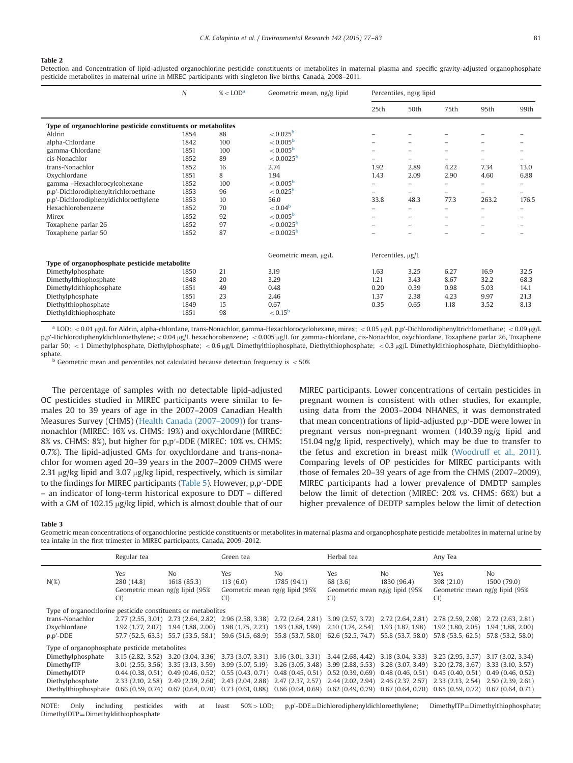#### <span id="page-4-0"></span>Table 2

Detection and Concentration of lipid-adjusted organochlorine pesticide constituents or metabolites in maternal plasma and specific gravity-adjusted organophosphate pesticide metabolites in maternal urine in MIREC participants with singleton live births, Canada, 2008–2011.

|                                                              | $\boldsymbol{N}$ | $\%$ < LOD <sup>a</sup> | Geometric mean, ng/g lipid | Percentiles, ng/g lipid  |                          |                          |                          |       |
|--------------------------------------------------------------|------------------|-------------------------|----------------------------|--------------------------|--------------------------|--------------------------|--------------------------|-------|
|                                                              |                  |                         |                            | 25th                     | 50th                     | 75th                     | 95th                     | 99th  |
| Type of organochlorine pesticide constituents or metabolites |                  |                         |                            |                          |                          |                          |                          |       |
| Aldrin                                                       | 1854             | 88                      | $< 0.025^{\rm b}$          |                          |                          |                          |                          |       |
| alpha-Chlordane                                              | 1842             | 100                     | $< 0.005^{\rm b}$          |                          |                          |                          |                          |       |
| gamma-Chlordane                                              | 1851             | 100                     | $< 0.005^{\rm b}$          |                          | $\overline{\phantom{0}}$ | $\overline{\phantom{0}}$ |                          |       |
| cis-Nonachlor                                                | 1852             | 89                      | $< 0.0025^{\rm b}$         |                          |                          |                          |                          |       |
| trans-Nonachlor                                              | 1852             | 16                      | 2.74                       | 1.92                     | 2.89                     | 4.22                     | 7.34                     | 13.0  |
| Oxychlordane                                                 | 1851             | 8                       | 1.94                       | 1.43                     | 2.09                     | 2.90                     | 4.60                     | 6.88  |
| gamma -Hexachlorocylcohexane                                 | 1852             | 100                     | $< 0.005^{\circ}$          |                          | $\overline{\phantom{0}}$ |                          | -                        |       |
| p,p'-Dichlorodiphenyltrichloroethane                         | 1853             | 96                      | $< 0.025^{\rm b}$          | $\overline{\phantom{0}}$ | $\overline{\phantom{0}}$ | $\overline{\phantom{0}}$ | $\overline{\phantom{0}}$ | -     |
| p,p'-Dichlorodiphenyldichloroethylene                        | 1853             | 10                      | 56.0                       | 33.8                     | 48.3                     | 77.3                     | 263.2                    | 176.5 |
| Hexachlorobenzene                                            | 1852             | 70                      | $< 0.04^{\rm b}$           |                          | -                        |                          | $\overline{\phantom{0}}$ |       |
| Mirex                                                        | 1852             | 92                      | $< 0.005^{\rm b}$          |                          |                          |                          |                          |       |
| Toxaphene parlar 26                                          | 1852             | 97                      | $< 0.0025^{\rm b}$         |                          | $\overline{\phantom{0}}$ |                          |                          |       |
| Toxaphene parlar 50                                          | 1852             | 87                      | $< 0.0025^{\rm b}$         |                          | $\overline{\phantom{0}}$ |                          |                          |       |
|                                                              |                  |                         | Geometric mean, µg/L       | Percentiles, µg/L        |                          |                          |                          |       |
| Type of organophosphate pesticide metabolite                 |                  |                         |                            |                          |                          |                          |                          |       |
| Dimethylphosphate                                            | 1850             | 21                      | 3.19                       | 1.63                     | 3.25                     | 6.27                     | 16.9                     | 32.5  |
| Dimethylthiophosphate                                        | 1848             | 20                      | 3.29                       | 1.21                     | 3.43                     | 8.67                     | 32.2                     | 68.3  |
| Dimethyldithiophosphate                                      | 1851             | 49                      | 0.48                       | 0.20                     | 0.39                     | 0.98                     | 5.03                     | 14.1  |
| Diethylphosphate                                             | 1851             | 23                      | 2.46                       | 1.37                     | 2.38                     | 4.23                     | 9.97                     | 21.3  |
| Diethylthiophosphate                                         | 1849             | 15                      | 0.67                       | 0.35                     | 0.65                     | 1.18                     | 3.52                     | 8.13  |
| Diethyldithiophosphate                                       | 1851             | 98                      | $< 0.15^{\rm b}$           |                          |                          |                          |                          |       |

<sup>a</sup> LOD: <0.01 µg/L for Aldrin, alpha-chlordane, trans-Nonachlor, gamma-Hexachlorocyclohexane, mirex; <0.05 µg/L p,p'-Dichlorodiphenyltrichloroethane; <0.09 µg/L p,p'-Dichlorodiphenyldichloroethylene; <0.04 µg/L hexachorobenzene; <0.005 µg/L for gamma-chlordane, cis-Nonachlor, oxychlordane, Toxaphene parlar 26, Toxaphene parlar 50; <1 Dimethylphosphate, Diethylphosphate; <0.6 µg/L Dimethylthiophosphate, Diethylthiophosphate; <0.3 µg/L Dimethyldithiophosphate, Diethyldithiophosphate.

 $b$  Geometric mean and percentiles not calculated because detection frequency is  $<$  50%

The percentage of samples with no detectable lipid-adjusted OC pesticides studied in MIREC participants were similar to females 20 to 39 years of age in the 2007–2009 Canadian Health Measures Survey (CHMS) ([Health Canada \(2007](#page-6-0)–2009)) for transnonachlor (MIREC: 16% vs. CHMS: 19%) and oxychlordane (MIREC: 8% vs. CHMS: 8%), but higher for p,p′-DDE (MIREC: 10% vs. CHMS: 0.7%). The lipid-adjusted GMs for oxychlordane and trans-nonachlor for women aged 20–39 years in the 2007–2009 CHMS were 2.31  $\mu$ g/kg lipid and 3.07  $\mu$ g/kg lipid, respectively, which is similar to the findings for MIREC participants ([Table 5](#page-5-0)). However, p,p′-DDE – an indicator of long-term historical exposure to DDT – differed with a GM of 102.15  $\mu$ g/kg lipid, which is almost double that of our MIREC participants. Lower concentrations of certain pesticides in pregnant women is consistent with other studies, for example, using data from the 2003–2004 NHANES, it was demonstrated that mean concentrations of lipid-adjusted p,p′-DDE were lower in pregnant versus non-pregnant women (140.39 ng/g lipid and 151.04 ng/g lipid, respectively), which may be due to transfer to the fetus and excretion in breast milk ([Woodruff et al., 2011\)](#page-6-0). Comparing levels of OP pesticides for MIREC participants with those of females 20–39 years of age from the CHMS (2007–2009), MIREC participants had a lower prevalence of DMDTP samples below the limit of detection (MIREC: 20% vs. CHMS: 66%) but a higher prevalence of DEDTP samples below the limit of detection

#### Table 3

Geometric mean concentrations of organochlorine pesticide constituents or metabolites in maternal plasma and organophosphate pesticide metabolites in maternal urine by tea intake in the first trimester in MIREC participants, Canada, 2009–2012.

|                                                              | Regular tea                                                   |                                                                                                                                                     | Green tea                                                   |                                                                         | Herbal tea                                               |                               | Any Tea                                                    |                               |
|--------------------------------------------------------------|---------------------------------------------------------------|-----------------------------------------------------------------------------------------------------------------------------------------------------|-------------------------------------------------------------|-------------------------------------------------------------------------|----------------------------------------------------------|-------------------------------|------------------------------------------------------------|-------------------------------|
| $N(\%)$                                                      | Yes<br>280 (14.8)<br>Geometric mean ng/g lipid (95%<br>$CI$ ) | No.<br>1618 (85.3)                                                                                                                                  | Yes<br>113(6.0)<br>Geometric mean ng/g lipid (95%<br>$CI$ ) | No.<br>1785 (94.1)                                                      | Yes<br>68 (3.6)<br>Geometric mean ng/g lipid (95%<br>CI) | N <sub>0</sub><br>1830 (96.4) | Yes<br>398 (21.0)<br>Geometric mean ng/g lipid (95%<br>CI) | N <sub>0</sub><br>1500 (79.0) |
| Type of organochlorine pesticide constituents or metabolites |                                                               |                                                                                                                                                     |                                                             |                                                                         |                                                          |                               |                                                            |                               |
| trans-Nonachlor                                              |                                                               | 2.77 (2.55, 3.01) 2.73 (2.64, 2.82)                                                                                                                 |                                                             | 2.96 (2.58, 3.38) 2.72 (2.64, 2.81) 3.09 (2.57, 3.72)                   |                                                          | 2.72 (2.64, 2.81)             | 2.78 (2.59, 2.98)                                          | 2.72(2.63, 2.81)              |
| Oxychlordane                                                 | 1.92(1.77, 2.07)                                              | 1.94 (1.88, 2.00)                                                                                                                                   | 1.98 (1.75, 2.23)                                           | 1.93 (1.88, 1.99) 2.10 (1.74, 2.54) 1.93 (1.87, 1.98)                   |                                                          |                               | 1.92(1.80, 2.05)                                           | 1.94(1.88, 2.00)              |
| p,p'-DDE                                                     |                                                               | 57.7 (52.5, 63.3) 55.7 (53.5, 58.1)                                                                                                                 |                                                             | 59.6 (51.5, 68.9) 55.8 (53.7, 58.0) 62.6 (52.5, 74.7) 55.8 (53.7, 58.0) |                                                          |                               | 57.8 (53.5, 62.5)                                          | 57.8 (53.2, 58.0)             |
| Type of organophosphate pesticide metabolites                |                                                               |                                                                                                                                                     |                                                             |                                                                         |                                                          |                               |                                                            |                               |
| Dimethylphosphate                                            |                                                               | 3.15 (2.82, 3.52) 3.20 (3.04, 3.36) 3.73 (3.07, 3.31) 3.16 (3.01, 3.31) 3.44 (2.68, 4.42) 3.18 (3.04, 3.33) 3.25 (2.95, 3.57) 3.17 (3.02, 3.34)     |                                                             |                                                                         |                                                          |                               |                                                            |                               |
| DimethylTP                                                   |                                                               | 3.01 (2.55, 3.56) 3.35 (3.13, 3.59) 3.99 (3.07, 5.19) 3.26 (3.05, 3.48) 3.99 (2.88, 5.53) 3.28 (3.07, 3.49) 3.20 (2.78, 3.67) 3.33 (3.10, 3.57)     |                                                             |                                                                         |                                                          |                               |                                                            |                               |
| DimethylDTP                                                  |                                                               | 0.49 (0.46, 0.51) 0.49 (0.46, 0.52) 0.55 (0.43, 0.71) 0.48 (0.45, 0.51) 0.52 (0.39, 0.69) 0.48 (0.46, 0.51) 0.45 (0.40, 0.51) 0.49 (0.46, 0.52)     |                                                             |                                                                         |                                                          |                               |                                                            |                               |
| Diethylphosphate                                             |                                                               | 2.33 (2.10, 2.58) 2.49 (2.39, 2.60) 2.43 (2.04, 2.88) 2.47 (2.37, 2.57) 2.44 (2.02, 2.94) 2.46 (2.37, 2.57) 2.33 (2.13, 2.54)                       |                                                             |                                                                         |                                                          |                               |                                                            | 2.50 (2.39, 2.61)             |
| Diethylthiophosphate                                         |                                                               | $0.66$ (0.59, 0.74) $0.67$ (0.64, 0.70) 0.73 (0.61, 0.88) 0.66 (0.64, 0.69) 0.62 (0.49, 0.79) 0.67 (0.64, 0.70) 0.65 (0.59, 0.72) 0.67 (0.64, 0.71) |                                                             |                                                                         |                                                          |                               |                                                            |                               |

NOTE: Only including pesticides with at least 50% > LOD; p,p'-DDE=Dichlorodiphenyldichloroethylene; DimethylTP=Dimethylthiophosphate; DimethylDTP=Dimethyldithiophosphate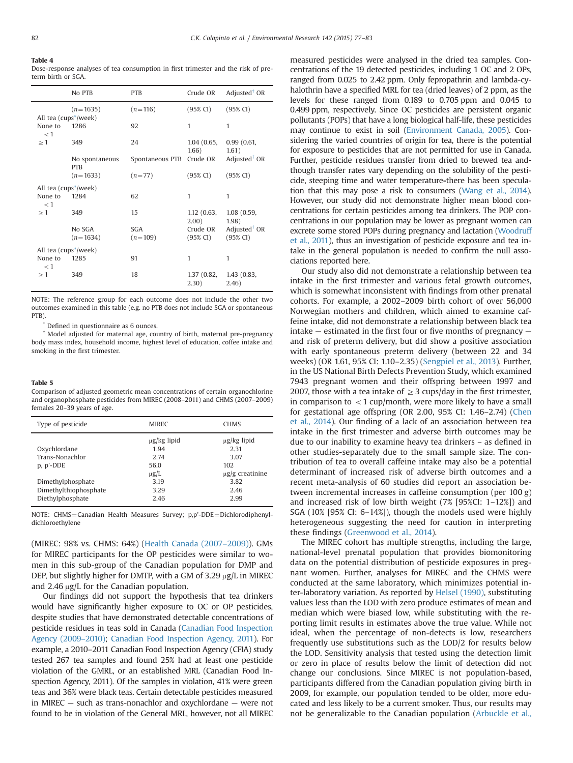<span id="page-5-0"></span>Table 4 Dose-response analyses of tea consumption in first trimester and the risk of preterm birth or SGA.

|                                   | No PTB                       | <b>PTB</b>              | Crude OR                        | Adjusted <sup>†</sup> OR             |
|-----------------------------------|------------------------------|-------------------------|---------------------------------|--------------------------------------|
| All tea (cups <sup>*</sup> /week) | $(n=1635)$                   | $(n=116)$               | (95% CI)                        | (95% CI)                             |
| None to<br>< 1                    | 1286                         | 92                      | 1                               | 1                                    |
| >1                                | 349                          | 24                      | 1.04(0.65,<br>1.66)             | 0.99(0.61,<br>1.61)                  |
|                                   | No spontaneous<br><b>PTB</b> | Spontaneous PTB         | Crude OR                        | Adjusted <sup>†</sup> OR             |
|                                   | $(n=1633)$                   | $(n=77)$                | $(95\% \text{ CI})$             | (95% CI)                             |
| All tea (cups <sup>*</sup> /week) |                              |                         |                                 |                                      |
| None to<br>< 1                    | 1284                         | 62                      | 1                               | 1                                    |
| >1                                | 349                          | 15                      | 1.12(0.63,<br>2.00)             | 1.08(0.59,<br>1.98)                  |
|                                   | No SGA<br>$(n=1634)$         | <b>SGA</b><br>$(n=109)$ | Crude OR<br>$(95\% \text{ CI})$ | Adjusted <sup>†</sup> OR<br>(95% CI) |
| All tea (cups <sup>*</sup> /week) |                              |                         |                                 |                                      |
| None to<br>< 1                    | 1285                         | 91                      | 1                               | 1                                    |
| $\geq 1$                          | 349                          | 18                      | 1.37 (0.82,<br>(2.30)           | 1.43(0.83,<br>2.46)                  |

NOTE: The reference group for each outcome does not include the other two outcomes examined in this table (e.g. no PTB does not include SGA or spontaneous PTB).

Defined in questionnaire as 6 ounces.

† Model adjusted for maternal age, country of birth, maternal pre-pregnancy body mass index, household income, highest level of education, coffee intake and smoking in the first trimester.

#### Table 5

Comparison of adjusted geometric mean concentrations of certain organochlorine and organophosphate pesticides from MIREC (2008–2011) and CHMS (2007–2009) females 20–39 years of age.

| Type of pesticide     | <b>MIREC</b>     | <b>CHMS</b>          |
|-----------------------|------------------|----------------------|
|                       | $\mu$ g/kg lipid | $\mu$ g/kg lipid     |
| Oxychlordane          | 1.94             | 2.31                 |
| Trans-Nonachlor       | 2.74             | 3.07                 |
| p, p'-DDE             | 56.0             | 102                  |
|                       | $\mu$ g/L        | $\mu$ g/g creatinine |
| Dimethylphosphate     | 3.19             | 3.82                 |
| Dimethylthiophosphate | 3.29             | 2.46                 |
| Diethylphosphate      | 2.46             | 2.99                 |

NOTE: CHMS=Canadian Health Measures Survey; p,p'-DDE=Dichlorodiphenyldichloroethylene

(MIREC: 98% vs. CHMS: 64%) [\(Health Canada \(2007](#page-6-0)–2009)). GMs for MIREC participants for the OP pesticides were similar to women in this sub-group of the Canadian population for DMP and DEP, but slightly higher for DMTP, with a GM of 3.29  $\mu$ g/L in MIREC and 2.46  $\mu$ g/L for the Canadian population.

Our findings did not support the hypothesis that tea drinkers would have significantly higher exposure to OC or OP pesticides, despite studies that have demonstrated detectable concentrations of pesticide residues in teas sold in Canada ([Canadian Food Inspection](#page-6-0) [Agency \(2009](#page-6-0)–2010); [Canadian Food Inspection Agency, 2011\)](#page-6-0). For example, a 2010–2011 Canadian Food Inspection Agency (CFIA) study tested 267 tea samples and found 25% had at least one pesticide violation of the GMRL, or an established MRL (Canadian Food Inspection Agency, 2011). Of the samples in violation, 41% were green teas and 36% were black teas. Certain detectable pesticides measured in MIREC — such as trans-nonachlor and oxychlordane — were not found to be in violation of the General MRL, however, not all MIREC measured pesticides were analysed in the dried tea samples. Concentrations of the 19 detected pesticides, including 1 OC and 2 OPs, ranged from 0.025 to 2.42 ppm. Only fepropathrin and lambda-cyhalothrin have a specified MRL for tea (dried leaves) of 2 ppm, as the levels for these ranged from 0.189 to 0.705 ppm and 0.045 to 0.499 ppm, respectively. Since OC pesticides are persistent organic pollutants (POPs) that have a long biological half-life, these pesticides may continue to exist in soil ([Environment Canada, 2005](#page-6-0)). Considering the varied countries of origin for tea, there is the potential for exposure to pesticides that are not permitted for use in Canada. Further, pesticide residues transfer from dried to brewed tea andthough transfer rates vary depending on the solubility of the pesticide, steeping time and water temperature-there has been speculation that this may pose a risk to consumers [\(Wang et al., 2014\)](#page-6-0). However, our study did not demonstrate higher mean blood concentrations for certain pesticides among tea drinkers. The POP concentrations in our population may be lower as pregnant women can excrete some stored POPs during pregnancy and lactation ([Woodruff](#page-6-0) [et al., 2011\)](#page-6-0), thus an investigation of pesticide exposure and tea intake in the general population is needed to confirm the null associations reported here.

Our study also did not demonstrate a relationship between tea intake in the first trimester and various fetal growth outcomes, which is somewhat inconsistent with findings from other prenatal cohorts. For example, a 2002–2009 birth cohort of over 56,000 Norwegian mothers and children, which aimed to examine caffeine intake, did not demonstrate a relationship between black tea intake — estimated in the first four or five months of pregnancy and risk of preterm delivery, but did show a positive association with early spontaneous preterm delivery (between 22 and 34 weeks) (OR 1.61, 95% CI: 1.10–2.35) [\(Sengpiel et al., 2013\)](#page-6-0). Further, in the US National Birth Defects Prevention Study, which examined 7943 pregnant women and their offspring between 1997 and 2007, those with a tea intake of  $\geq$  3 cups/day in the first trimester, in comparison to  $<$  1 cup/month, were more likely to have a small for gestational age offspring (OR 2.00, 95% CI: 1.46–2.74) [\(Chen](#page-6-0) [et al., 2014](#page-6-0)). Our finding of a lack of an association between tea intake in the first trimester and adverse birth outcomes may be due to our inability to examine heavy tea drinkers – as defined in other studies-separately due to the small sample size. The contribution of tea to overall caffeine intake may also be a potential determinant of increased risk of adverse birth outcomes and a recent meta-analysis of 60 studies did report an association between incremental increases in caffeine consumption (per 100 g) and increased risk of low birth weight (7% [95%CI: 1–12%]) and SGA (10% [95% CI: 6–14%]), though the models used were highly heterogeneous suggesting the need for caution in interpreting these findings [\(Greenwood et al., 2014](#page-6-0)).

The MIREC cohort has multiple strengths, including the large, national-level prenatal population that provides biomonitoring data on the potential distribution of pesticide exposures in pregnant women. Further, analyses for MIREC and the CHMS were conducted at the same laboratory, which minimizes potential inter-laboratory variation. As reported by [Helsel \(1990\)](#page-6-0), substituting values less than the LOD with zero produce estimates of mean and median which were biased low, while substituting with the reporting limit results in estimates above the true value. While not ideal, when the percentage of non-detects is low, researchers frequently use substitutions such as the LOD/2 for results below the LOD. Sensitivity analysis that tested using the detection limit or zero in place of results below the limit of detection did not change our conclusions. Since MIREC is not population-based, participants differed from the Canadian population giving birth in 2009, for example, our population tended to be older, more educated and less likely to be a current smoker. Thus, our results may not be generalizable to the Canadian population ([Arbuckle et al.,](#page-6-0)